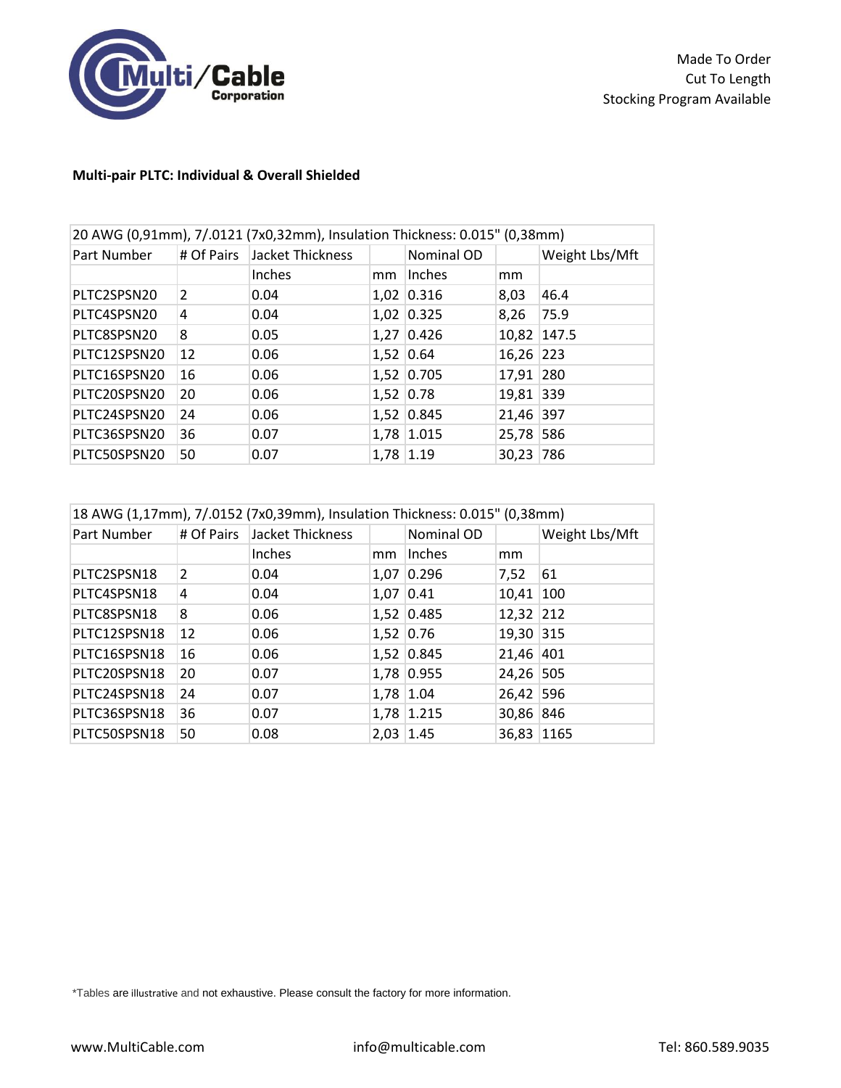

## **Multi-pair PLTC: Individual & Overall Shielded**

| 20 AWG (0,91mm), 7/.0121 (7x0,32mm), Insulation Thickness: 0.015" (0,38mm) |                         |                             |           |               |               |                |
|----------------------------------------------------------------------------|-------------------------|-----------------------------|-----------|---------------|---------------|----------------|
| Part Number                                                                |                         | # Of Pairs Jacket Thickness |           | Nominal OD    |               | Weight Lbs/Mft |
|                                                                            |                         | Inches                      | mm        | <b>Inches</b> | <sub>mm</sub> |                |
| PLTC2SPSN20                                                                | $\overline{\mathbf{z}}$ | 0.04                        |           | 1,02 0.316    | 8,03          | 46.4           |
| PLTC4SPSN20                                                                | 4                       | 0.04                        |           | 1,02 0.325    | 8,26          | 75.9           |
| PLTC8SPSN20                                                                | 8                       | 0.05                        |           | 1,27 0.426    | 10,82 147.5   |                |
| PLTC12SPSN20                                                               | 12                      | 0.06                        |           | $1,52$ 0.64   | 16,26 223     |                |
| PLTC16SPSN20                                                               | 16                      | 0.06                        |           | 1,52 0.705    | 17,91 280     |                |
| PLTC20SPSN20                                                               | 20                      | 0.06                        | 1,52 0.78 |               | 19,81 339     |                |
| PLTC24SPSN20                                                               | 24                      | 0.06                        |           | 1,52 0.845    | 21,46 397     |                |
| PLTC36SPSN20                                                               | 36                      | 0.07                        |           | 1,78 1.015    | 25,78 586     |                |
| PLTC50SPSN20                                                               | 50                      | 0.07                        | 1,78 1.19 |               | 30,23 786     |                |

| 18 AWG (1,17mm), 7/.0152 (7x0,39mm), Insulation Thickness: 0.015" (0,38mm) |    |                             |           |            |            |                |
|----------------------------------------------------------------------------|----|-----------------------------|-----------|------------|------------|----------------|
| Part Number                                                                |    | # Of Pairs Jacket Thickness |           | Nominal OD |            | Weight Lbs/Mft |
|                                                                            |    | Inches                      | mm        | Inches     | mm         |                |
| PLTC2SPSN18                                                                | 2  | 0.04                        | 1,07      | 0.296      | 7,52       | 61             |
| PLTC4SPSN18                                                                | 4  | 0.04                        | 1,07 0.41 |            | 10,41 100  |                |
| PLTC8SPSN18                                                                | 8  | 0.06                        |           | 1,52 0.485 | 12,32 212  |                |
| PLTC12SPSN18                                                               | 12 | 0.06                        | 1,52 0.76 |            | 19,30 315  |                |
| PLTC16SPSN18                                                               | 16 | 0.06                        |           | 1,52 0.845 | 21,46 401  |                |
| PLTC20SPSN18                                                               | 20 | 0.07                        |           | 1,78 0.955 | 24,26 505  |                |
| PLTC24SPSN18                                                               | 24 | 0.07                        | 1,78 1.04 |            | 26,42 596  |                |
| PLTC36SPSN18                                                               | 36 | 0.07                        |           | 1,78 1.215 | 30,86 846  |                |
| PLTC50SPSN18                                                               | 50 | 0.08                        | 2,03 1.45 |            | 36,83 1165 |                |

\*Tables are illustrative and not exhaustive. Please consult the factory for more information.